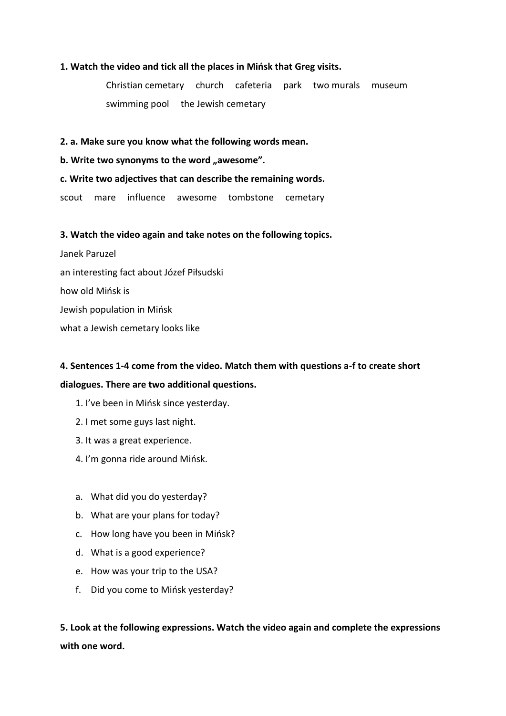### **1. Watch the video and tick all the places in Mińsk that Greg visits.**

Christian cemetary church cafeteria park two murals museum swimming pool the Jewish cemetary

**2. a. Make sure you know what the following words mean.** 

**b. Write two synonyms to the word "awesome".** 

#### **c. Write two adjectives that can describe the remaining words.**

scout mare influence awesome tombstone cemetary

## **3. Watch the video again and take notes on the following topics.**

Janek Paruzel an interesting fact about Józef Piłsudski how old Mińsk is Jewish population in Mińsk what a Jewish cemetary looks like

# **4. Sentences 1-4 come from the video. Match them with questions a-f to create short dialogues. There are two additional questions.**

- 1. I've been in Mińsk since yesterday.
- 2. I met some guys last night.
- 3. It was a great experience.
- 4. I'm gonna ride around Mińsk.
- a. What did you do yesterday?
- b. What are your plans for today?
- c. How long have you been in Mińsk?
- d. What is a good experience?
- e. How was your trip to the USA?
- f. Did you come to Mińsk yesterday?

**5. Look at the following expressions. Watch the video again and complete the expressions with one word.**